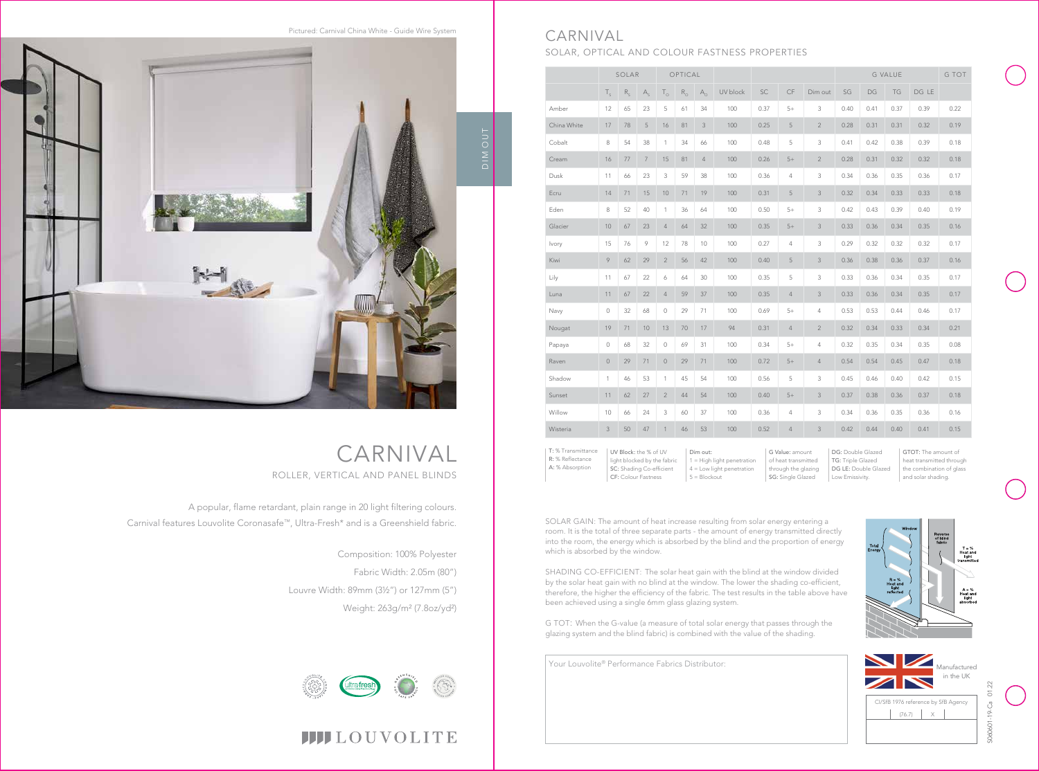## CARNIVAL ROLLER, VERTICAL AND PANEL BLINDS



# **IIII**LOUVOLITE

A popular, flame retardant, plain range in 20 light filtering colours. Carnival features Louvolite Coronasafe™, Ultra-Fresh\* and is a Greenshield fabric.

Pictured: Carnival China White - Guide Wire System



Composition: 100% Polyester Fabric Width: 2.05m (80") Louvre Width: 89mm (3½") or 127mm (5") Weight: 263g/m² (7.8oz/yd²)



CI/SfB 1976 reference by SfB Agency  $(76.7)$   $\times$ in the UK

G Value: amount of heat transmitted through the glazing SG: Single Glazed

|             | SOLAR        |         | OPTICAL        |                     |             |                |          | <b>G VALUE</b> |                |                | G TOT |      |      |       |      |
|-------------|--------------|---------|----------------|---------------------|-------------|----------------|----------|----------------|----------------|----------------|-------|------|------|-------|------|
|             | $T_{\rm s}$  | $R_{s}$ | A <sub>s</sub> | $T_{\circ}$         | $R_{\odot}$ | $A_{\odot}$    | UV block | SC             | CF             | Dim out        | SG    | DG   | TG   | DG LE |      |
| Amber       | 12           | 65      | 23             | 5                   | 61          | 34             | 100      | 0.37           | $5+$           | 3              | 0.40  | 0.41 | 0.37 | 0.39  | 0.22 |
| China White | 17           | 78      | 5              | 16                  | 81          | 3              | 100      | 0.25           | 5              | $\overline{2}$ | 0.28  | 0.31 | 0.31 | 0.32  | 0.19 |
| Cobalt      | 8            | 54      | 38             | $\mathbf{1}$        | 34          | 66             | 100      | 0.48           | 5              | 3              | 0.41  | 0.42 | 0.38 | 0.39  | 0.18 |
| Cream       | 16           | 77      | $\overline{7}$ | 15                  | 81          | $\overline{4}$ | 100      | 0.26           | $5+$           | $\overline{2}$ | 0.28  | 0.31 | 0.32 | 0.32  | 0.18 |
| Dusk        | 11           | 66      | 23             | 3                   | 59          | 38             | 100      | 0.36           | $\overline{4}$ | 3              | 0.34  | 0.36 | 0.35 | 0.36  | 0.17 |
| Ecru        | 14           | 71      | 15             | 10                  | 71          | 19             | 100      | 0.31           | 5              | 3              | 0.32  | 0.34 | 0.33 | 0.33  | 0.18 |
| Eden        | 8            | 52      | 40             | $\mathbf{1}$        | 36          | 64             | 100      | 0.50           | $5+$           | 3              | 0.42  | 0.43 | 0.39 | 0.40  | 0.19 |
| Glacier     | 10           | 67      | 23             | 4                   | 64          | 32             | 100      | 0.35           | $5+$           | 3              | 0.33  | 0.36 | 0.34 | 0.35  | 0.16 |
| Ivory       | 15           | 76      | 9              | 12                  | 78          | 10             | 100      | 0.27           | $\overline{4}$ | 3              | 0.29  | 0.32 | 0.32 | 0.32  | 0.17 |
| Kiwi        | 9            | 62      | 29             | $\overline{2}$      | 56          | 42             | 100      | 0.40           | 5              | 3              | 0.36  | 0.38 | 0.36 | 0.37  | 0.16 |
| Lily        | 11           | 67      | 22             | 6                   | 64          | 30             | 100      | 0.35           | 5              | 3              | 0.33  | 0.36 | 0.34 | 0.35  | 0.17 |
| Luna        | 11           | 67      | 22             | $\overline{4}$      | 59          | 37             | 100      | 0.35           | $\overline{4}$ | 3              | 0.33  | 0.36 | 0.34 | 0.35  | 0.17 |
| Navy        | $\circ$      | 32      | 68             | $\circ$             | 29          | 71             | 100      | 0.69           | $5+$           | 4              | 0.53  | 0.53 | 0.44 | 0.46  | 0.17 |
| Nougat      | 19           | 71      | 10             | 13                  | 70          | 17             | 94       | 0.31           | $\overline{4}$ | $\overline{2}$ | 0.32  | 0.34 | 0.33 | 0.34  | 0.21 |
| Papaya      | $\circ$      | 68      | 32             | $\mathsf{O}\xspace$ | 69          | 31             | 100      | 0.34           | $5+$           | 4              | 0.32  | 0.35 | 0.34 | 0.35  | 0.08 |
| Raven       | $\mathbb O$  | 29      | 71             | $\circ$             | 29          | 71             | 100      | 0.72           | $5+$           | $\overline{4}$ | 0.54  | 0.54 | 0.45 | 0.47  | 0.18 |
| Shadow      | $\mathbf{1}$ | 46      | 53             | $\mathbf{1}$        | 45          | 54             | 100      | 0.56           | 5              | 3              | 0.45  | 0.46 | 0.40 | 0.42  | 0.15 |
| Sunset      | 11           | 62      | 27             | $\overline{2}$      | 44          | 54             | 100      | 0.40           | $5+$           | 3              | 0.37  | 0.38 | 0.36 | 0.37  | 0.18 |
| Willow      | 10           | 66      | 24             | 3                   | 60          | 37             | 100      | 0.36           | $\overline{4}$ | 3              | 0.34  | 0.36 | 0.35 | 0.36  | 0.16 |
| Wisteria    | 3            | 50      | 47             | $\mathbf{1}$        | 46          | 53             | 100      | 0.52           | $\overline{4}$ | 3              | 0.42  | 0.44 | 0.40 | 0.41  | 0.15 |

## CARNIVAL SOLAR, OPTICAL AND COLOUR FASTNESS PROPERTIES

UV Block: the % of UV light blocked by the fabric SC: Shading Co-efficient CF: Colour Fastness T: % Transmittance R: % Reflectance A: % Absorption

Dim out: 1 = High light penetration 4 = Low light penetration 5 = Blockout

GTOT: The amount of heat transmitted through the combination of glass and solar shading.





SOLAR GAIN: The amount of heat increase resulting from solar energy entering a room. It is the total of three separate parts - the amount of energy transmitted directly into the room, the energy which is absorbed by the blind and the proportion of energy which is absorbed by the window.

SHADING CO-EFFICIENT: The solar heat gain with the blind at the window divided by the solar heat gain with no blind at the window. The lower the shading co-efficient, therefore, the higher the efficiency of the fabric. The test results in the table above have been achieved using a single 6mm glass glazing system.

G TOT: When the G-value (a measure of total solar energy that passes through the glazing system and the blind fabric) is combined with the value of the shading.

Your Louvolite® Performance Fabrics Distributor: Manufactured

DG: Double Glazed TG: Triple Glazed DG LE: Double Glazed Low Emissivity.